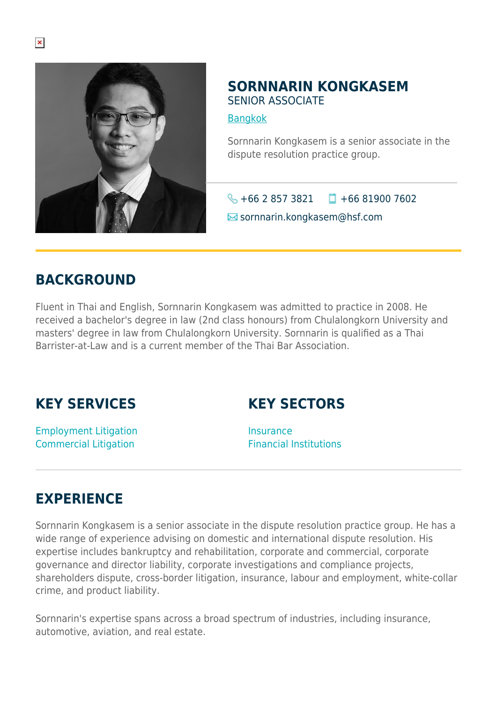

#### **SORNNARIN KONGKASEM** SENIOR ASSOCIATE

[Bangkok](https://www.herbertsmithfreehills.com/where-we-work/bangkok)

Sornnarin Kongkasem is a senior associate in the dispute resolution practice group.

 $\bigotimes$  +66 2 857 3821  $\Box$  +66 81900 7602

sornnarin.kongkasem@hsf.com

#### **BACKGROUND**

Fluent in Thai and English, Sornnarin Kongkasem was admitted to practice in 2008. He received a bachelor's degree in law (2nd class honours) from Chulalongkorn University and masters' degree in law from Chulalongkorn University. Sornnarin is qualified as a Thai Barrister-at-Law and is a current member of the Thai Bar Association.

# **KEY SERVICES**

# **KEY SECTORS**

Employment Litigation Commercial Litigation

**Insurance** Financial Institutions

# **EXPERIENCE**

Sornnarin Kongkasem is a senior associate in the dispute resolution practice group. He has a wide range of experience advising on domestic and international dispute resolution. His expertise includes bankruptcy and rehabilitation, corporate and commercial, corporate governance and director liability, corporate investigations and compliance projects, shareholders dispute, cross-border litigation, insurance, labour and employment, white-collar crime, and product liability.

Sornnarin's expertise spans across a broad spectrum of industries, including insurance, automotive, aviation, and real estate.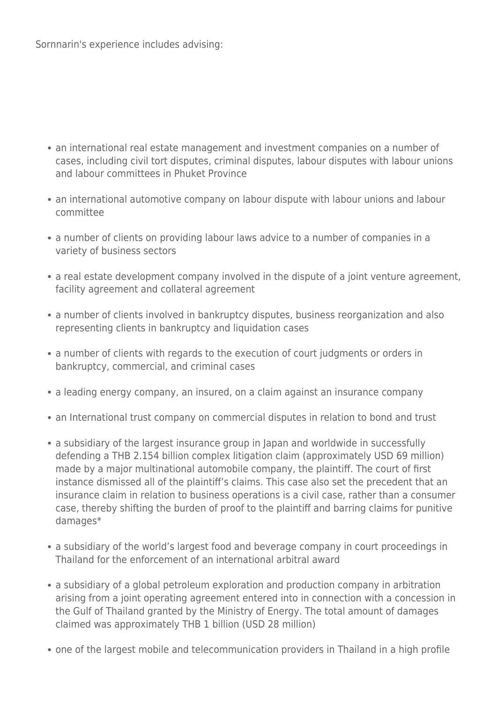- an international real estate management and investment companies on a number of cases, including civil tort disputes, criminal disputes, labour disputes with labour unions and labour committees in Phuket Province
- an international automotive company on labour dispute with labour unions and labour committee
- a number of clients on providing labour laws advice to a number of companies in a variety of business sectors
- a real estate development company involved in the dispute of a joint venture agreement, facility agreement and collateral agreement
- a number of clients involved in bankruptcy disputes, business reorganization and also representing clients in bankruptcy and liquidation cases
- a number of clients with regards to the execution of court judgments or orders in bankruptcy, commercial, and criminal cases
- a leading energy company, an insured, on a claim against an insurance company
- an International trust company on commercial disputes in relation to bond and trust
- a subsidiary of the largest insurance group in Japan and worldwide in successfully defending a THB 2.154 billion complex litigation claim (approximately USD 69 million) made by a major multinational automobile company, the plaintiff. The court of first instance dismissed all of the plaintiff's claims. This case also set the precedent that an insurance claim in relation to business operations is a civil case, rather than a consumer case, thereby shifting the burden of proof to the plaintiff and barring claims for punitive damages\*
- a subsidiary of the world's largest food and beverage company in court proceedings in Thailand for the enforcement of an international arbitral award
- a subsidiary of a global petroleum exploration and production company in arbitration arising from a joint operating agreement entered into in connection with a concession in the Gulf of Thailand granted by the Ministry of Energy. The total amount of damages claimed was approximately THB 1 billion (USD 28 million)
- one of the largest mobile and telecommunication providers in Thailand in a high profile